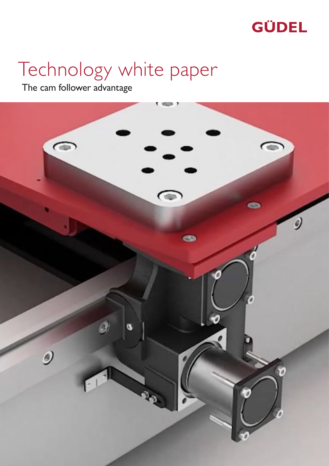

# Technology white paper

The cam follower advantage

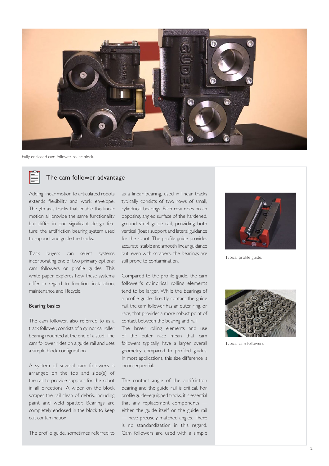

Fully enclosed cam follower roller block.



# The cam follower advantage

Adding linear motion to articulated robots extends flexibility and work envelope. The 7th axis tracks that enable this linear motion all provide the same functionality but differ in one significant design feature: the antifriction bearing system used to support and guide the tracks.

Track buyers can select systems incorporating one of two primary options: cam followers or profile guides. This white paper explores how these systems differ in regard to function, installation, maintenance and lifecycle.

## Bearing basics

The cam follower, also referred to as a track follower, consists of a cylindrical roller bearing mounted at the end of a stud. The cam follower rides on a guide rail and uses a simple block configuration.

A system of several cam followers is arranged on the top and side(s) of the rail to provide support for the robot in all directions. A wiper on the block scrapes the rail clean of debris, including paint and weld spatter. Bearings are completely enclosed in the block to keep out contamination.

The profile guide, sometimes referred to

as a linear bearing, used in linear tracks typically consists of two rows of small, cylindrical bearings. Each row rides on an opposing, angled surface of the hardened, ground steel guide rail, providing both vertical (load) support and lateral guidance for the robot. The profile guide provides accurate, stable and smooth linear guidance but, even with scrapers, the bearings are still prone to contamination.

Compared to the profile guide, the cam follower's cylindrical rolling elements tend to be larger. While the bearings of a profile guide directly contact the guide rail, the cam follower has an outer ring, or race, that provides a more robust point of contact between the bearing and rail.

The larger rolling elements and use of the outer race mean that cam followers typically have a larger overall geometry compared to profiled guides. In most applications, this size difference is inconsequential.

The contact angle of the antifriction bearing and the guide rail is critical. For profile guide–equipped tracks, it is essential that any replacement components either the guide itself or the guide rail — have precisely matched angles. There is no standardization in this regard. Cam followers are used with a simple



Typical profile guide.



Typical cam followers.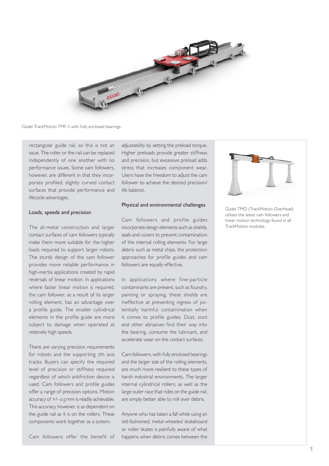

Güdel TrackMotion TMF-3 with fully enclosed bearings.

rectangular guide rail, so this is not an issue. The roller or the rail can be replaced independently of one another with no performance issues. Some cam followers, however, are different in that they incorporate profiled, slightly curved contact surfaces that provide performance and lifecycle advantages.

#### Loads, speeds and precision

The all-metal construction and larger contact surfaces of cam followers typically make them more suitable for the higher loads required to support larger robots. The sturdy design of the cam follower provides more reliable performance in high-inertia applications created by rapid reversals of linear motion. In applications where faster linear motion is required, the cam follower, as a result of its larger rolling element, has an advantage over a profile guide. The smaller cylindrical elements in the profile guide are more subject to damage when operated at relatively high speeds.

There are varying precision requirements for robots and the supporting 7th axis tracks. Buyers can specify the required level of precision or stiffness required regardless of which antifriction device is used. Cam followers and profile guides offer a range of precision options. Motion accuracy of +/- 0.5 mm is readily achievable. This accuracy, however, is as dependent on the guide rail as it is on the rollers. These components work together as a system.

Cam followers offer the benefit of

adjustability by setting the preload torque. Higher preloads provide greater stiffness and precision, but excessive preload adds stress that increases component wear. Users have the freedom to adjust the cam follower to achieve the desired precision/ life balance.

#### Physical and environmental challenges

Cam followers and profile guides incorporate design elements such as shields, seals and covers to prevent contamination of the internal rolling elements. For large debris such as metal chips, the protection approaches for profile guides and cam followers are equally effective.

In applications where fine-particle contaminants are present, such as foundry, painting or spraying, these shields are ineffective at preventing ingress of potentially harmful contamination when it comes to profile guides. Dust, soot and other abrasives find their way into the bearing, consume the lubricant, and accelerate wear on the contact surfaces.

Cam followers, with fully enclosed bearings and the larger size of the rolling elements, are much more resilient to these types of harsh industrial environments. The larger internal cylindrical rollers, as well as the large outer race that rides on the guide rail, are simply better able to roll over debris.

Anyone who has taken a fall while using an old-fashioned, metal-wheeled skateboard or roller skates is painfully aware of what happens when debris comes between the



Güdel TMO (TrackMotion Overhead) utilizes the latest cam followers and linear motion technology found in all TrackMotion modules.